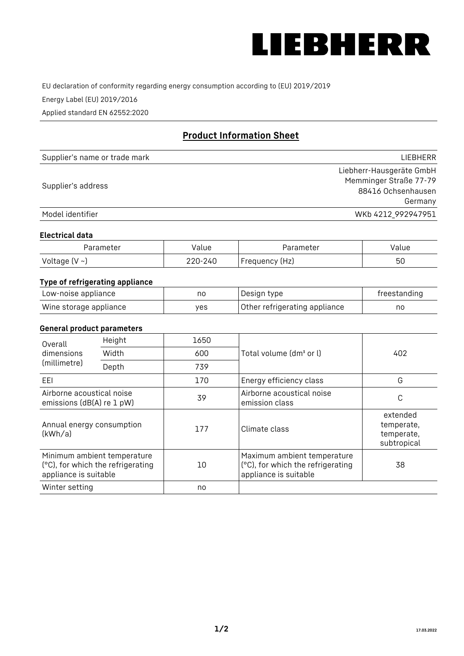

EU declaration of conformity regarding energy consumption according to (EU) 2019/2019

Energy Label (EU) 2019/2016

Applied standard EN 62552:2020

# **Product Information Sheet**

| Supplier's name or trade mark | <b>LIFBHFRR</b>          |
|-------------------------------|--------------------------|
|                               | Liebherr-Hausgeräte GmbH |
| Supplier's address            | Memminger Straße 77-79   |
|                               | 88416 Ochsenhausen       |
|                               | Germany                  |
| Model identifier              | WKb 4212_992947951       |

#### **Electrical data**

| Parameter           | Value   | Parameter      | Value |
|---------------------|---------|----------------|-------|
| Voltage (V $\sim$ ) | 220-240 | Frequency (Hz) | 50    |

## **Type of refrigerating appliance**

| Low-noise appliance    | nc  | Design type                   | freestanding |
|------------------------|-----|-------------------------------|--------------|
| Wine storage appliance | ves | Other refrigerating appliance | no           |

#### **General product parameters**

| Height<br>Overall                                      |                                                                  | 1650 |                                                                                           |                                                     |
|--------------------------------------------------------|------------------------------------------------------------------|------|-------------------------------------------------------------------------------------------|-----------------------------------------------------|
| dimensions<br>(millimetre)                             | Width                                                            | 600  | Total volume (dm <sup>3</sup> or l)                                                       | 402                                                 |
|                                                        | Depth                                                            | 739  |                                                                                           |                                                     |
| EEL                                                    |                                                                  | 170  | Energy efficiency class                                                                   | G                                                   |
| Airborne acoustical noise<br>emissions (dB(A) re 1 pW) |                                                                  | 39   | Airborne acoustical noise<br>emission class                                               | C                                                   |
| Annual energy consumption<br>(kWh/a)                   |                                                                  | 177  | Climate class                                                                             | extended<br>temperate,<br>temperate,<br>subtropical |
| appliance is suitable                                  | Minimum ambient temperature<br>(°C), for which the refrigerating | 10   | Maximum ambient temperature<br>(°C), for which the refrigerating<br>appliance is suitable | 38                                                  |
| Winter setting                                         |                                                                  | no   |                                                                                           |                                                     |